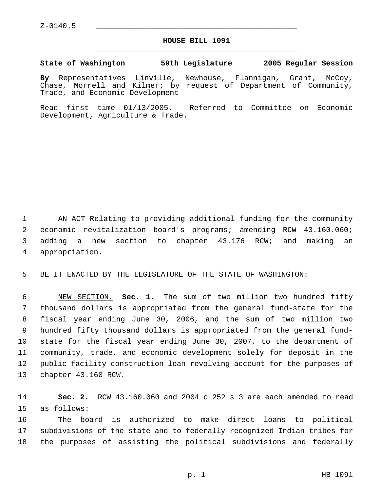Z-0140.5 \_\_\_\_\_\_\_\_\_\_\_\_\_\_\_\_\_\_\_\_\_\_\_\_\_\_\_\_\_\_\_\_\_\_\_\_\_\_\_\_\_\_\_\_\_

## **HOUSE BILL 1091** \_\_\_\_\_\_\_\_\_\_\_\_\_\_\_\_\_\_\_\_\_\_\_\_\_\_\_\_\_\_\_\_\_\_\_\_\_\_\_\_\_\_\_\_\_

## **State of Washington 59th Legislature 2005 Regular Session**

**By** Representatives Linville, Newhouse, Flannigan, Grant, McCoy, Chase, Morrell and Kilmer; by request of Department of Community, Trade, and Economic Development

Read first time 01/13/2005. Referred to Committee on Economic Development, Agriculture & Trade.

 AN ACT Relating to providing additional funding for the community economic revitalization board's programs; amending RCW 43.160.060; adding a new section to chapter 43.176 RCW; and making an appropriation.

BE IT ENACTED BY THE LEGISLATURE OF THE STATE OF WASHINGTON:

 NEW SECTION. **Sec. 1.** The sum of two million two hundred fifty thousand dollars is appropriated from the general fund-state for the fiscal year ending June 30, 2006, and the sum of two million two hundred fifty thousand dollars is appropriated from the general fund- state for the fiscal year ending June 30, 2007, to the department of community, trade, and economic development solely for deposit in the public facility construction loan revolving account for the purposes of chapter 43.160 RCW.

 **Sec. 2.** RCW 43.160.060 and 2004 c 252 s 3 are each amended to read as follows:

 The board is authorized to make direct loans to political subdivisions of the state and to federally recognized Indian tribes for the purposes of assisting the political subdivisions and federally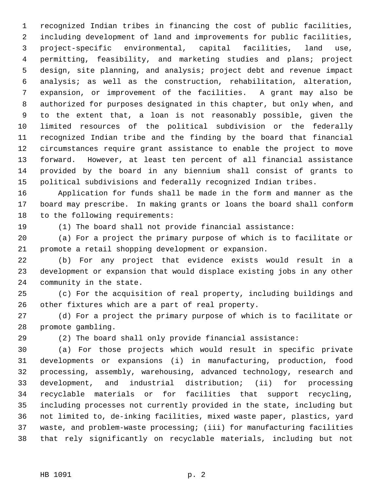recognized Indian tribes in financing the cost of public facilities, including development of land and improvements for public facilities, project-specific environmental, capital facilities, land use, permitting, feasibility, and marketing studies and plans; project design, site planning, and analysis; project debt and revenue impact analysis; as well as the construction, rehabilitation, alteration, expansion, or improvement of the facilities. A grant may also be authorized for purposes designated in this chapter, but only when, and to the extent that, a loan is not reasonably possible, given the limited resources of the political subdivision or the federally recognized Indian tribe and the finding by the board that financial circumstances require grant assistance to enable the project to move forward. However, at least ten percent of all financial assistance provided by the board in any biennium shall consist of grants to political subdivisions and federally recognized Indian tribes.

 Application for funds shall be made in the form and manner as the board may prescribe. In making grants or loans the board shall conform to the following requirements:

(1) The board shall not provide financial assistance:

 (a) For a project the primary purpose of which is to facilitate or promote a retail shopping development or expansion.

 (b) For any project that evidence exists would result in a development or expansion that would displace existing jobs in any other community in the state.

 (c) For the acquisition of real property, including buildings and other fixtures which are a part of real property.

 (d) For a project the primary purpose of which is to facilitate or promote gambling.

(2) The board shall only provide financial assistance:

 (a) For those projects which would result in specific private developments or expansions (i) in manufacturing, production, food processing, assembly, warehousing, advanced technology, research and development, and industrial distribution; (ii) for processing recyclable materials or for facilities that support recycling, including processes not currently provided in the state, including but not limited to, de-inking facilities, mixed waste paper, plastics, yard waste, and problem-waste processing; (iii) for manufacturing facilities that rely significantly on recyclable materials, including but not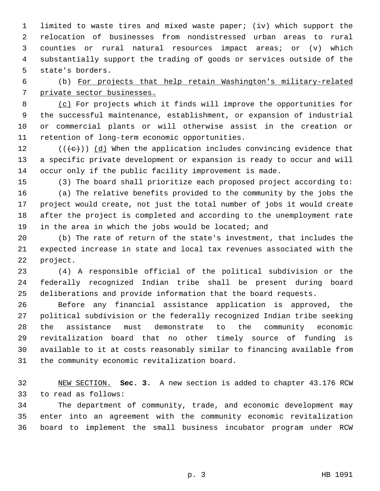limited to waste tires and mixed waste paper; (iv) which support the relocation of businesses from nondistressed urban areas to rural counties or rural natural resources impact areas; or (v) which substantially support the trading of goods or services outside of the state's borders.

 (b) For projects that help retain Washington's military-related private sector businesses.

 (c) For projects which it finds will improve the opportunities for the successful maintenance, establishment, or expansion of industrial or commercial plants or will otherwise assist in the creation or retention of long-term economic opportunities.

12 ( $(\langle e \rangle)$ ) (d) When the application includes convincing evidence that a specific private development or expansion is ready to occur and will occur only if the public facility improvement is made.

(3) The board shall prioritize each proposed project according to:

 (a) The relative benefits provided to the community by the jobs the project would create, not just the total number of jobs it would create after the project is completed and according to the unemployment rate 19 in the area in which the jobs would be located; and

 (b) The rate of return of the state's investment, that includes the expected increase in state and local tax revenues associated with the project.

 (4) A responsible official of the political subdivision or the federally recognized Indian tribe shall be present during board deliberations and provide information that the board requests.

 Before any financial assistance application is approved, the political subdivision or the federally recognized Indian tribe seeking the assistance must demonstrate to the community economic revitalization board that no other timely source of funding is available to it at costs reasonably similar to financing available from the community economic revitalization board.

 NEW SECTION. **Sec. 3.** A new section is added to chapter 43.176 RCW to read as follows:

 The department of community, trade, and economic development may enter into an agreement with the community economic revitalization board to implement the small business incubator program under RCW